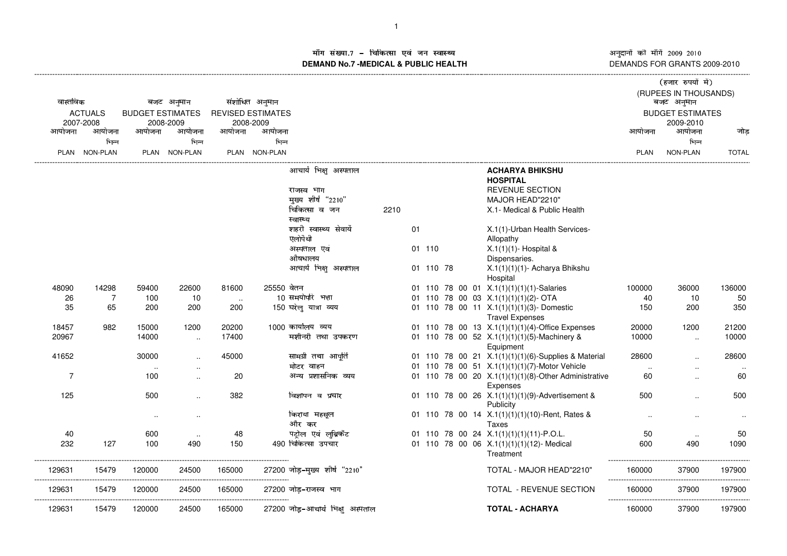अनुदानों की माँगें 2009–2010<br>DEMANDS FOR GRANTS 2009-2010

## ाँग संख्या.7 – चिकित्सा एवं जन स्वास्थ्य स्थान कर संस्था पर संस्था आर्यो अ ---------------------------------------------------------------------------------------------------------------------------------------------------------------------------------------------------------------------------------------------------------------------------- (------------------- )\*+,-./+010132- माँग सख्या.7 – चिकित्सा एव जन स्वास्थ्य<br>DEMAND No.7 -MEDICAL & PUBLIC HEALTH

|                |                     |                         |                      |                  |                          |                                  |      |    |           |  |                                                      |              | (हजार रुपयां मं)        |              |
|----------------|---------------------|-------------------------|----------------------|------------------|--------------------------|----------------------------------|------|----|-----------|--|------------------------------------------------------|--------------|-------------------------|--------------|
|                |                     |                         |                      |                  |                          |                                  |      |    |           |  |                                                      |              | (RUPEES IN THOUSANDS)   |              |
| वास्तविक       |                     | बजट अनुमान              |                      |                  | संशोधित अनुमान           |                                  |      |    |           |  |                                                      |              | बजट अनुमान              |              |
|                | <b>ACTUALS</b>      | <b>BUDGET ESTIMATES</b> |                      |                  | <b>REVISED ESTIMATES</b> |                                  |      |    |           |  |                                                      |              | <b>BUDGET ESTIMATES</b> |              |
| आयोजना         | 2007-2008<br>आयोजना | आयोजना                  | 2008-2009<br>आयोजना  | आयोजना           | 2008-2009<br>आयोजना      |                                  |      |    |           |  |                                                      | आयोजना       | 2009-2010<br>आयोजना     | जोड          |
|                | भिन्न               |                         | भिन्न                |                  | भिन्न                    |                                  |      |    |           |  |                                                      |              | भिन्न                   |              |
|                | PLAN NON-PLAN       |                         | PLAN NON-PLAN        |                  | PLAN NON-PLAN            |                                  |      |    |           |  |                                                      | <b>PLAN</b>  | NON-PLAN                | <b>TOTAL</b> |
|                |                     |                         |                      |                  |                          |                                  |      |    |           |  |                                                      |              |                         |              |
|                |                     |                         |                      |                  |                          | आचार्य भिक्षु अस्पताल            |      |    |           |  | <b>ACHARYA BHIKSHU</b>                               |              |                         |              |
|                |                     |                         |                      |                  |                          |                                  |      |    |           |  | <b>HOSPITAL</b>                                      |              |                         |              |
|                |                     |                         |                      |                  |                          | राजस्व भाग                       |      |    |           |  | <b>REVENUE SECTION</b>                               |              |                         |              |
|                |                     |                         |                      |                  |                          | मुख्य शीर्ष "2210"               |      |    |           |  | MAJOR HEAD"2210"                                     |              |                         |              |
|                |                     |                         |                      |                  |                          | चिकित्सा व जन                    | 2210 |    |           |  | X.1- Medical & Public Health                         |              |                         |              |
|                |                     |                         |                      |                  |                          | स्वास्थ्य                        |      |    |           |  |                                                      |              |                         |              |
|                |                     |                         |                      |                  |                          | शहरी स्वास्थ्य सेवायें           |      | 01 |           |  | X.1(1)-Urban Health Services-                        |              |                         |              |
|                |                     |                         |                      |                  |                          | एलोपैथी                          |      |    |           |  | Allopathy                                            |              |                         |              |
|                |                     |                         |                      |                  |                          | अस्पताल एवं                      |      |    | 01 110    |  | $X.1(1)(1)$ - Hospital &                             |              |                         |              |
|                |                     |                         |                      |                  |                          | औषधालय                           |      |    |           |  | Dispensaries.                                        |              |                         |              |
|                |                     |                         |                      |                  |                          | आचार्य भिक्षु अस्पताल            |      |    | 01 110 78 |  | X.1(1)(1)(1)- Acharya Bhikshu                        |              |                         |              |
| 48090          | 14298               | 59400                   | 22600                | 81600            | 25550 वेतन               |                                  |      |    |           |  | Hospital<br>01 110 78 00 01 X.1(1)(1)(1)(1)-Salaries |              | 36000                   | 136000       |
| 26             | 7                   | 100                     | 10                   |                  |                          | 10 समयोपरि भत्ता                 |      |    |           |  | 01 110 78 00 03 X.1(1)(1)(1)(2)- OTA                 | 100000<br>40 | 10                      | 50           |
| 35             | 65                  | 200                     | 200                  | $\cdot$ .<br>200 |                          | 150 घरेलु यात्रा व्यय            |      |    |           |  | 01 110 78 00 11 X.1(1)(1)(1)(3)-Domestic             | 150          | 200                     | 350          |
|                |                     |                         |                      |                  |                          |                                  |      |    |           |  | <b>Travel Expenses</b>                               |              |                         |              |
| 18457          | 982                 | 15000                   | 1200                 | 20200            |                          | 1000 कार्यालय व्यय               |      |    |           |  | 01 110 78 00 13 X.1(1)(1)(1)(4)-Office Expenses      | 20000        | 1200                    | 21200        |
| 20967          |                     | 14000                   |                      | 17400            |                          | मशीनरी तथा उपकरण                 |      |    |           |  | 01 110 78 00 52 X.1(1)(1)(1)(5)-Machinery &          | 10000        |                         | 10000        |
|                |                     |                         | $\ldots$             |                  |                          |                                  |      |    |           |  | Equipment                                            |              | $\ddotsc$               |              |
| 41652          |                     | 30000                   | $\sim$               | 45000            |                          | सामग्री तथा आपूर्ति              |      |    |           |  | 01 110 78 00 21 X.1(1)(1)(1)(6)-Supplies & Material  | 28600        |                         | 28600        |
|                |                     | $\ddotsc$               | $\sim$               |                  |                          | मोटर वाहन                        |      |    |           |  | 01 110 78 00 51 X.1(1)(1)(1)(7)-Motor Vehicle        | $\ddotsc$    | $\ddotsc$               | $\ddotsc$    |
| $\overline{7}$ |                     | 100                     | $\ddot{\phantom{a}}$ | 20               |                          | अन्य प्रशासनिक व्यय              |      |    |           |  | 01 110 78 00 20 X.1(1)(1)(1)(8)-Other Administrative | 60           | $\ddot{\phantom{a}}$    | 60           |
|                |                     |                         |                      |                  |                          |                                  |      |    |           |  | Expenses                                             |              |                         |              |
| 125            |                     | 500                     | $\ddotsc$            | 382              |                          | विज्ञापन व प्रचार                |      |    |           |  | 01 110 78 00 26 X.1(1)(1)(1)(9)-Advertisement &      | 500          | $\ddot{\phantom{a}}$    | 500          |
|                |                     |                         |                      |                  |                          |                                  |      |    |           |  | Publicity                                            |              |                         |              |
|                |                     | $\ddotsc$               | $\ddotsc$            |                  |                          | किराया महसूल                     |      |    |           |  | 01 110 78 00 14 X.1(1)(1)(1)(10)-Rent, Rates &       |              |                         |              |
|                |                     |                         |                      |                  |                          | और कर                            |      |    |           |  | Taxes                                                |              |                         |              |
| 40             |                     | 600                     | $\sim$               | 48               |                          | पदोल एवं लुब्रिकेंट              |      |    |           |  | 01 110 78 00 24 X.1(1)(1)(1)(11)-P.O.L.              | 50           | $\ddotsc$               | 50           |
| 232            | 127                 | 100                     | 490                  | 150              |                          | 490 चिकित्सा उपचार               |      |    |           |  | 01 110 78 00 06 X.1(1)(1)(1)(12)- Medical            | 600          | 490                     | 1090         |
|                |                     |                         |                      |                  |                          |                                  |      |    |           |  | Treatment                                            |              |                         |              |
| 129631         | 15479               | 120000                  | 24500                | 165000           |                          | 27200 जोड़-मुख्य शीर्ष "2210"    |      |    |           |  | TOTAL - MAJOR HEAD"2210"                             | 160000       | 37900                   | 197900       |
|                |                     |                         |                      | --------         |                          |                                  |      |    |           |  |                                                      |              |                         |              |
| 129631         | 15479               | 120000                  | 24500                | 165000           |                          | 27200 जोड़-राजस्व भाग            |      |    |           |  | TOTAL - REVENUE SECTION                              | 160000       | 37900                   | 197900       |
|                |                     |                         |                      |                  |                          |                                  |      |    |           |  |                                                      |              |                         |              |
| 129631         | 15479               | 120000                  | 24500                | 165000           |                          | 27200 जोड़-आचार्य भिक्षु अस्पताल |      |    |           |  | <b>TOTAL - ACHARYA</b>                               | 160000       | 37900                   | 197900       |